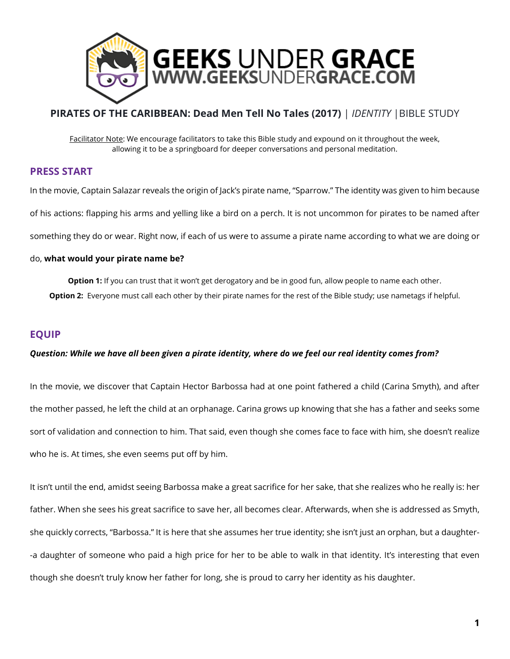

# **PIRATES OF THE CARIBBEAN: Dead Men Tell No Tales (2017)** | *IDENTITY* |BIBLE STUDY

Facilitator Note: We encourage facilitators to take this Bible study and expound on it throughout the week, allowing it to be a springboard for deeper conversations and personal meditation.

# **PRESS START**

In the movie, Captain Salazar reveals the origin of Jack's pirate name, "Sparrow." The identity was given to him because of his actions: flapping his arms and yelling like a bird on a perch. It is not uncommon for pirates to be named after something they do or wear. Right now, if each of us were to assume a pirate name according to what we are doing or

### do, **what would your pirate name be?**

**Option 1:** If you can trust that it won't get derogatory and be in good fun, allow people to name each other. **Option 2:** Everyone must call each other by their pirate names for the rest of the Bible study; use nametags if helpful.

# **EQUIP**

#### *Question: While we have all been given a pirate identity, where do we feel our real identity comes from?*

In the movie, we discover that Captain Hector Barbossa had at one point fathered a child (Carina Smyth), and after the mother passed, he left the child at an orphanage. Carina grows up knowing that she has a father and seeks some sort of validation and connection to him. That said, even though she comes face to face with him, she doesn't realize who he is. At times, she even seems put off by him.

It isn't until the end, amidst seeing Barbossa make a great sacrifice for her sake, that she realizes who he really is: her father. When she sees his great sacrifice to save her, all becomes clear. Afterwards, when she is addressed as Smyth, she quickly corrects, "Barbossa." It is here that she assumes her true identity; she isn't just an orphan, but a daughter- -a daughter of someone who paid a high price for her to be able to walk in that identity. It's interesting that even though she doesn't truly know her father for long, she is proud to carry her identity as his daughter.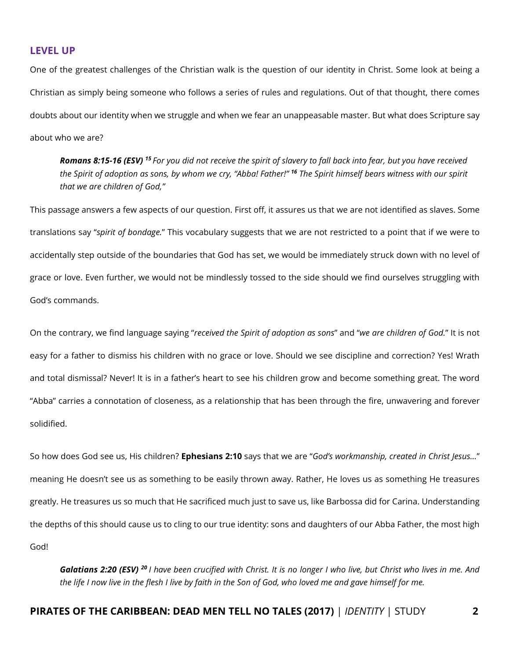#### **LEVEL UP**

One of the greatest challenges of the Christian walk is the question of our identity in Christ. Some look at being a Christian as simply being someone who follows a series of rules and regulations. Out of that thought, there comes doubts about our identity when we struggle and when we fear an unappeasable master. But what does Scripture say about who we are?

*Romans 8:15-16 (ESV) <sup>15</sup>For you did not receive the spirit of slavery to fall back into fear, but you have received the Spirit of adoption as sons, by whom we cry, "Abba! Father!" <sup>16</sup> The Spirit himself bears witness with our spirit that we are children of God,"*

This passage answers a few aspects of our question. First off, it assures us that we are not identified as slaves. Some translations say "*spirit of bondage.*" This vocabulary suggests that we are not restricted to a point that if we were to accidentally step outside of the boundaries that God has set, we would be immediately struck down with no level of grace or love. Even further, we would not be mindlessly tossed to the side should we find ourselves struggling with God's commands.

On the contrary, we find language saying "*received the Spirit of adoption as sons*" and "*we are children of God.*" It is not easy for a father to dismiss his children with no grace or love. Should we see discipline and correction? Yes! Wrath and total dismissal? Never! It is in a father's heart to see his children grow and become something great. The word "Abba" carries a connotation of closeness, as a relationship that has been through the fire, unwavering and forever solidified.

So how does God see us, His children? **Ephesians 2:10** says that we are "*God's workmanship, created in Christ Jesus…*" meaning He doesn't see us as something to be easily thrown away. Rather, He loves us as something He treasures greatly. He treasures us so much that He sacrificed much just to save us, like Barbossa did for Carina. Understanding the depths of this should cause us to cling to our true identity: sons and daughters of our Abba Father, the most high God!

*Galatians 2:20 (ESV) <sup>20</sup>I have been crucified with Christ. It is no longer I who live, but Christ who lives in me. And the life I now live in the flesh I live by faith in the Son of God, who loved me and gave himself for me.*

#### **PIRATES OF THE CARIBBEAN: DEAD MEN TELL NO TALES (2017)** | *IDENTITY* | STUDY **2**